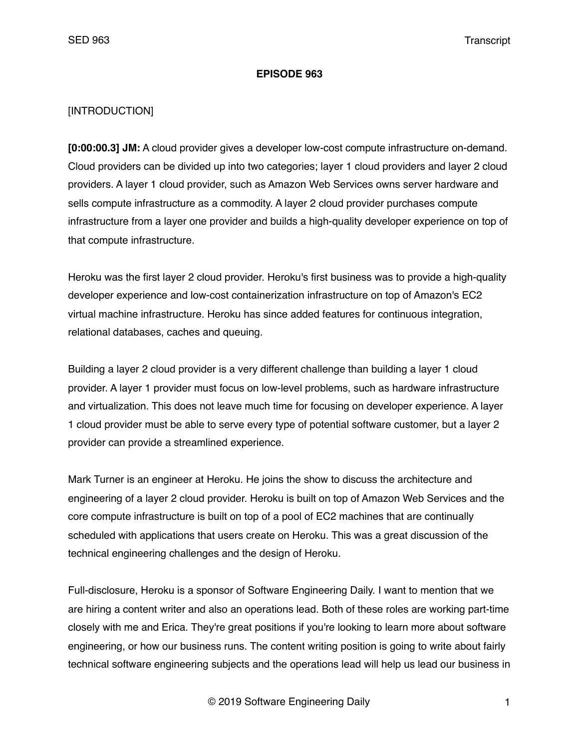#### **EPISODE 963**

### [INTRODUCTION]

**[0:00:00.3] JM:** A cloud provider gives a developer low-cost compute infrastructure on-demand. Cloud providers can be divided up into two categories; layer 1 cloud providers and layer 2 cloud providers. A layer 1 cloud provider, such as Amazon Web Services owns server hardware and sells compute infrastructure as a commodity. A layer 2 cloud provider purchases compute infrastructure from a layer one provider and builds a high-quality developer experience on top of that compute infrastructure.

Heroku was the first layer 2 cloud provider. Heroku's first business was to provide a high-quality developer experience and low-cost containerization infrastructure on top of Amazon's EC2 virtual machine infrastructure. Heroku has since added features for continuous integration, relational databases, caches and queuing.

Building a layer 2 cloud provider is a very different challenge than building a layer 1 cloud provider. A layer 1 provider must focus on low-level problems, such as hardware infrastructure and virtualization. This does not leave much time for focusing on developer experience. A layer 1 cloud provider must be able to serve every type of potential software customer, but a layer 2 provider can provide a streamlined experience.

Mark Turner is an engineer at Heroku. He joins the show to discuss the architecture and engineering of a layer 2 cloud provider. Heroku is built on top of Amazon Web Services and the core compute infrastructure is built on top of a pool of EC2 machines that are continually scheduled with applications that users create on Heroku. This was a great discussion of the technical engineering challenges and the design of Heroku.

Full-disclosure, Heroku is a sponsor of Software Engineering Daily. I want to mention that we are hiring a content writer and also an operations lead. Both of these roles are working part-time closely with me and Erica. They're great positions if you're looking to learn more about software engineering, or how our business runs. The content writing position is going to write about fairly technical software engineering subjects and the operations lead will help us lead our business in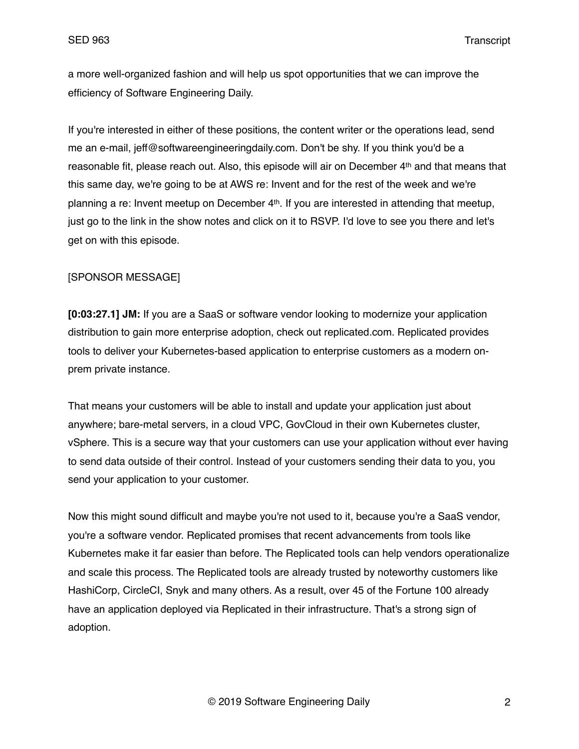a more well-organized fashion and will help us spot opportunities that we can improve the efficiency of Software Engineering Daily.

If you're interested in either of these positions, the content writer or the operations lead, send me an e-mail, jeff@softwareengineeringdaily.com. Don't be shy. If you think you'd be a reasonable fit, please reach out. Also, this episode will air on December 4th and that means that this same day, we're going to be at AWS re: Invent and for the rest of the week and we're planning a re: Invent meetup on December 4th. If you are interested in attending that meetup, just go to the link in the show notes and click on it to RSVP. I'd love to see you there and let's get on with this episode.

### [SPONSOR MESSAGE]

**[0:03:27.1] JM:** If you are a SaaS or software vendor looking to modernize your application distribution to gain more enterprise adoption, check out replicated.com. Replicated provides tools to deliver your Kubernetes-based application to enterprise customers as a modern onprem private instance.

That means your customers will be able to install and update your application just about anywhere; bare-metal servers, in a cloud VPC, GovCloud in their own Kubernetes cluster, vSphere. This is a secure way that your customers can use your application without ever having to send data outside of their control. Instead of your customers sending their data to you, you send your application to your customer.

Now this might sound difficult and maybe you're not used to it, because you're a SaaS vendor, you're a software vendor. Replicated promises that recent advancements from tools like Kubernetes make it far easier than before. The Replicated tools can help vendors operationalize and scale this process. The Replicated tools are already trusted by noteworthy customers like HashiCorp, CircleCI, Snyk and many others. As a result, over 45 of the Fortune 100 already have an application deployed via Replicated in their infrastructure. That's a strong sign of adoption.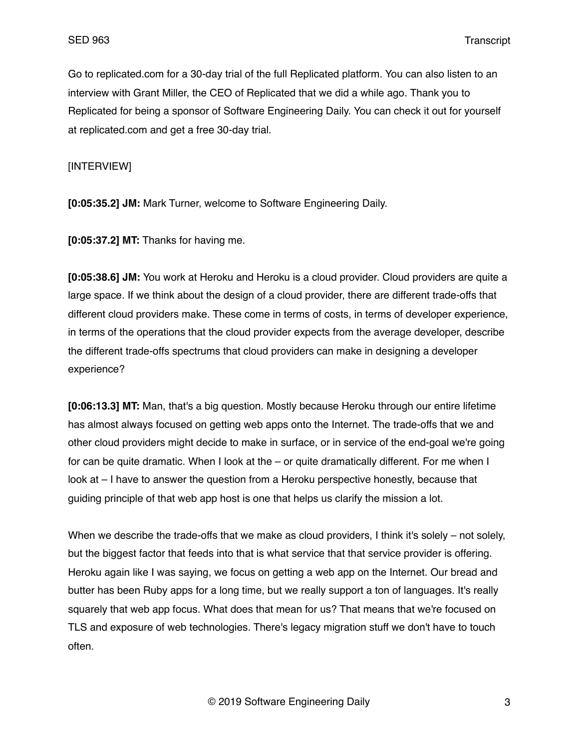Go to replicated.com for a 30-day trial of the full Replicated platform. You can also listen to an interview with Grant Miller, the CEO of Replicated that we did a while ago. Thank you to Replicated for being a sponsor of Software Engineering Daily. You can check it out for yourself at replicated.com and get a free 30-day trial.

[INTERVIEW]

**[0:05:35.2] JM:** Mark Turner, welcome to Software Engineering Daily.

**[0:05:37.2] MT:** Thanks for having me.

**[0:05:38.6] JM:** You work at Heroku and Heroku is a cloud provider. Cloud providers are quite a large space. If we think about the design of a cloud provider, there are different trade-offs that different cloud providers make. These come in terms of costs, in terms of developer experience, in terms of the operations that the cloud provider expects from the average developer, describe the different trade-offs spectrums that cloud providers can make in designing a developer experience?

**[0:06:13.3] MT:** Man, that's a big question. Mostly because Heroku through our entire lifetime has almost always focused on getting web apps onto the Internet. The trade-offs that we and other cloud providers might decide to make in surface, or in service of the end-goal we're going for can be quite dramatic. When I look at the – or quite dramatically different. For me when I look at – I have to answer the question from a Heroku perspective honestly, because that guiding principle of that web app host is one that helps us clarify the mission a lot.

When we describe the trade-offs that we make as cloud providers, I think it's solely – not solely, but the biggest factor that feeds into that is what service that that service provider is offering. Heroku again like I was saying, we focus on getting a web app on the Internet. Our bread and butter has been Ruby apps for a long time, but we really support a ton of languages. It's really squarely that web app focus. What does that mean for us? That means that we're focused on TLS and exposure of web technologies. There's legacy migration stuff we don't have to touch often.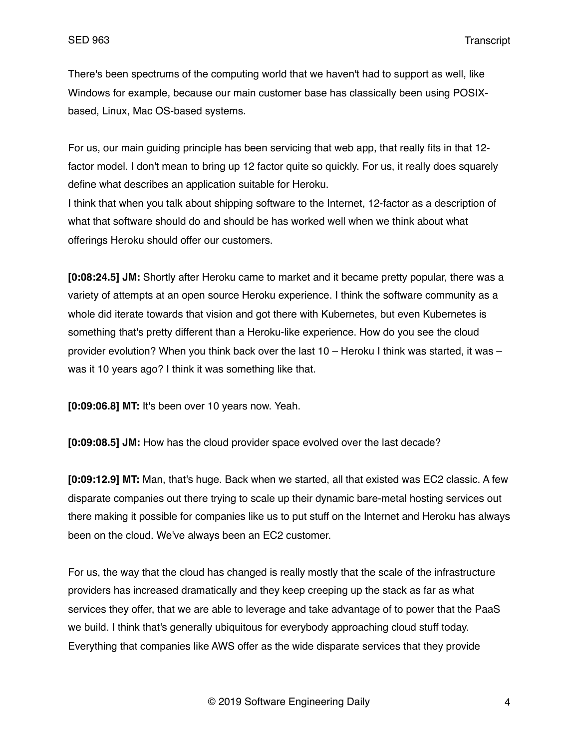There's been spectrums of the computing world that we haven't had to support as well, like Windows for example, because our main customer base has classically been using POSIXbased, Linux, Mac OS-based systems.

For us, our main guiding principle has been servicing that web app, that really fits in that 12 factor model. I don't mean to bring up 12 factor quite so quickly. For us, it really does squarely define what describes an application suitable for Heroku.

I think that when you talk about shipping software to the Internet, 12-factor as a description of what that software should do and should be has worked well when we think about what offerings Heroku should offer our customers.

**[0:08:24.5] JM:** Shortly after Heroku came to market and it became pretty popular, there was a variety of attempts at an open source Heroku experience. I think the software community as a whole did iterate towards that vision and got there with Kubernetes, but even Kubernetes is something that's pretty different than a Heroku-like experience. How do you see the cloud provider evolution? When you think back over the last 10 – Heroku I think was started, it was – was it 10 years ago? I think it was something like that.

**[0:09:06.8] MT:** It's been over 10 years now. Yeah.

**[0:09:08.5] JM:** How has the cloud provider space evolved over the last decade?

**[0:09:12.9] MT:** Man, that's huge. Back when we started, all that existed was EC2 classic. A few disparate companies out there trying to scale up their dynamic bare-metal hosting services out there making it possible for companies like us to put stuff on the Internet and Heroku has always been on the cloud. We've always been an EC2 customer.

For us, the way that the cloud has changed is really mostly that the scale of the infrastructure providers has increased dramatically and they keep creeping up the stack as far as what services they offer, that we are able to leverage and take advantage of to power that the PaaS we build. I think that's generally ubiquitous for everybody approaching cloud stuff today. Everything that companies like AWS offer as the wide disparate services that they provide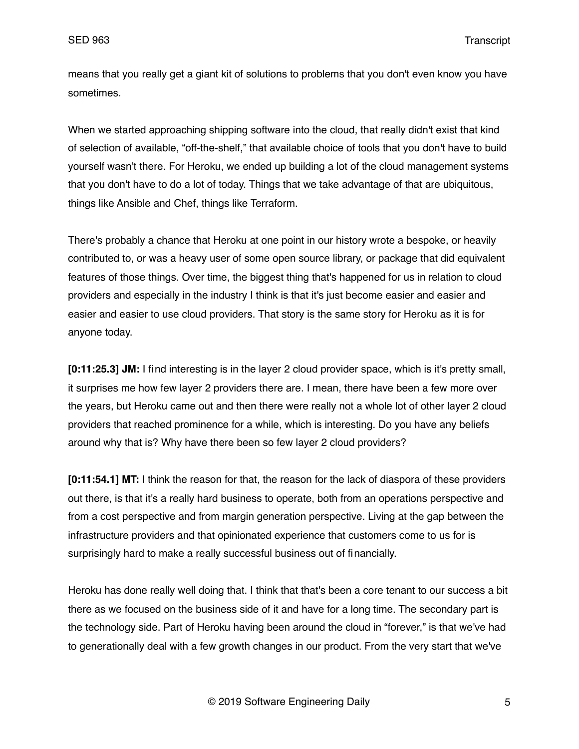means that you really get a giant kit of solutions to problems that you don't even know you have sometimes.

When we started approaching shipping software into the cloud, that really didn't exist that kind of selection of available, "off-the-shelf," that available choice of tools that you don't have to build yourself wasn't there. For Heroku, we ended up building a lot of the cloud management systems that you don't have to do a lot of today. Things that we take advantage of that are ubiquitous, things like Ansible and Chef, things like Terraform.

There's probably a chance that Heroku at one point in our history wrote a bespoke, or heavily contributed to, or was a heavy user of some open source library, or package that did equivalent features of those things. Over time, the biggest thing that's happened for us in relation to cloud providers and especially in the industry I think is that it's just become easier and easier and easier and easier to use cloud providers. That story is the same story for Heroku as it is for anyone today.

**[0:11:25.3] JM:** I find interesting is in the layer 2 cloud provider space, which is it's pretty small, it surprises me how few layer 2 providers there are. I mean, there have been a few more over the years, but Heroku came out and then there were really not a whole lot of other layer 2 cloud providers that reached prominence for a while, which is interesting. Do you have any beliefs around why that is? Why have there been so few layer 2 cloud providers?

**[0:11:54.1] MT:** I think the reason for that, the reason for the lack of diaspora of these providers out there, is that it's a really hard business to operate, both from an operations perspective and from a cost perspective and from margin generation perspective. Living at the gap between the infrastructure providers and that opinionated experience that customers come to us for is surprisingly hard to make a really successful business out of financially.

Heroku has done really well doing that. I think that that's been a core tenant to our success a bit there as we focused on the business side of it and have for a long time. The secondary part is the technology side. Part of Heroku having been around the cloud in "forever," is that we've had to generationally deal with a few growth changes in our product. From the very start that we've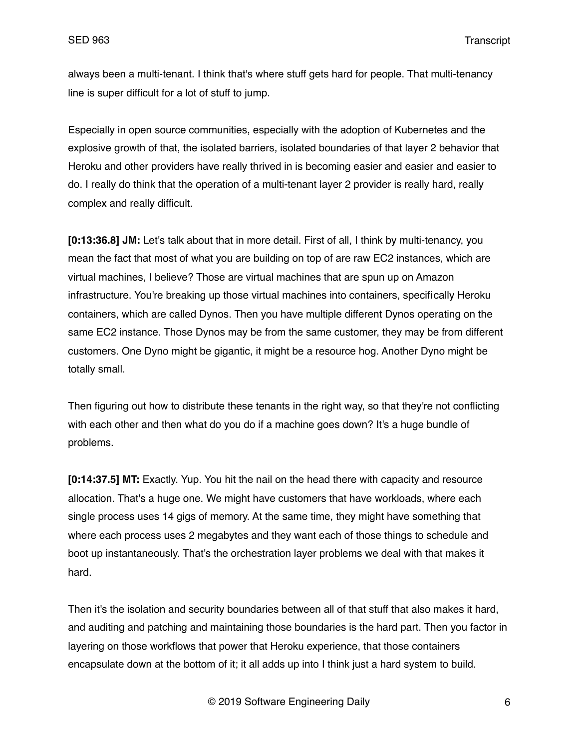always been a multi-tenant. I think that's where stuff gets hard for people. That multi-tenancy line is super difficult for a lot of stuff to jump.

Especially in open source communities, especially with the adoption of Kubernetes and the explosive growth of that, the isolated barriers, isolated boundaries of that layer 2 behavior that Heroku and other providers have really thrived in is becoming easier and easier and easier to do. I really do think that the operation of a multi-tenant layer 2 provider is really hard, really complex and really difficult.

**[0:13:36.8] JM:** Let's talk about that in more detail. First of all, I think by multi-tenancy, you mean the fact that most of what you are building on top of are raw EC2 instances, which are virtual machines, I believe? Those are virtual machines that are spun up on Amazon infrastructure. You're breaking up those virtual machines into containers, specifically Heroku containers, which are called Dynos. Then you have multiple different Dynos operating on the same EC2 instance. Those Dynos may be from the same customer, they may be from different customers. One Dyno might be gigantic, it might be a resource hog. Another Dyno might be totally small.

Then figuring out how to distribute these tenants in the right way, so that they're not conflicting with each other and then what do you do if a machine goes down? It's a huge bundle of problems.

**[0:14:37.5] MT:** Exactly. Yup. You hit the nail on the head there with capacity and resource allocation. That's a huge one. We might have customers that have workloads, where each single process uses 14 gigs of memory. At the same time, they might have something that where each process uses 2 megabytes and they want each of those things to schedule and boot up instantaneously. That's the orchestration layer problems we deal with that makes it hard.

Then it's the isolation and security boundaries between all of that stuff that also makes it hard, and auditing and patching and maintaining those boundaries is the hard part. Then you factor in layering on those workflows that power that Heroku experience, that those containers encapsulate down at the bottom of it; it all adds up into I think just a hard system to build.

© 2019 Software Engineering Daily 6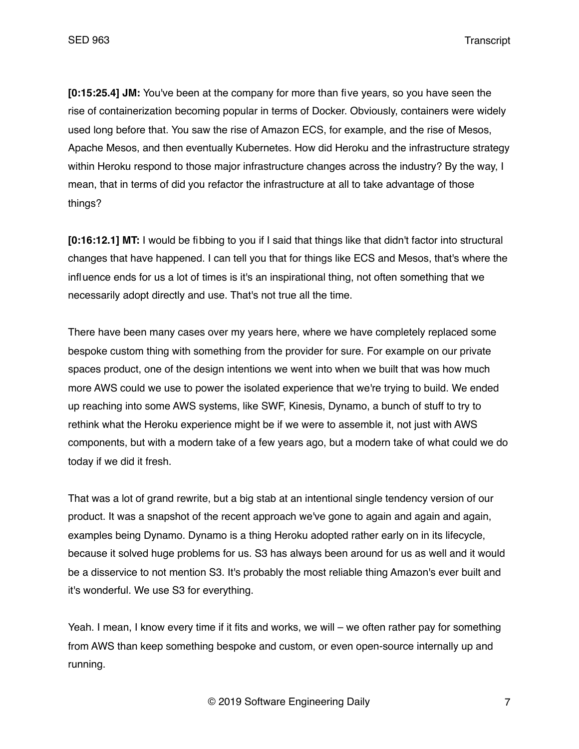**[0:15:25.4] JM:** You've been at the company for more than five years, so you have seen the rise of containerization becoming popular in terms of Docker. Obviously, containers were widely used long before that. You saw the rise of Amazon ECS, for example, and the rise of Mesos, Apache Mesos, and then eventually Kubernetes. How did Heroku and the infrastructure strategy within Heroku respond to those major infrastructure changes across the industry? By the way, I mean, that in terms of did you refactor the infrastructure at all to take advantage of those things?

**[0:16:12.1] MT:** I would be fibbing to you if I said that things like that didn't factor into structural changes that have happened. I can tell you that for things like ECS and Mesos, that's where the influence ends for us a lot of times is it's an inspirational thing, not often something that we necessarily adopt directly and use. That's not true all the time.

There have been many cases over my years here, where we have completely replaced some bespoke custom thing with something from the provider for sure. For example on our private spaces product, one of the design intentions we went into when we built that was how much more AWS could we use to power the isolated experience that we're trying to build. We ended up reaching into some AWS systems, like SWF, Kinesis, Dynamo, a bunch of stuff to try to rethink what the Heroku experience might be if we were to assemble it, not just with AWS components, but with a modern take of a few years ago, but a modern take of what could we do today if we did it fresh.

That was a lot of grand rewrite, but a big stab at an intentional single tendency version of our product. It was a snapshot of the recent approach we've gone to again and again and again, examples being Dynamo. Dynamo is a thing Heroku adopted rather early on in its lifecycle, because it solved huge problems for us. S3 has always been around for us as well and it would be a disservice to not mention S3. It's probably the most reliable thing Amazon's ever built and it's wonderful. We use S3 for everything.

Yeah. I mean, I know every time if it fits and works, we will – we often rather pay for something from AWS than keep something bespoke and custom, or even open-source internally up and running.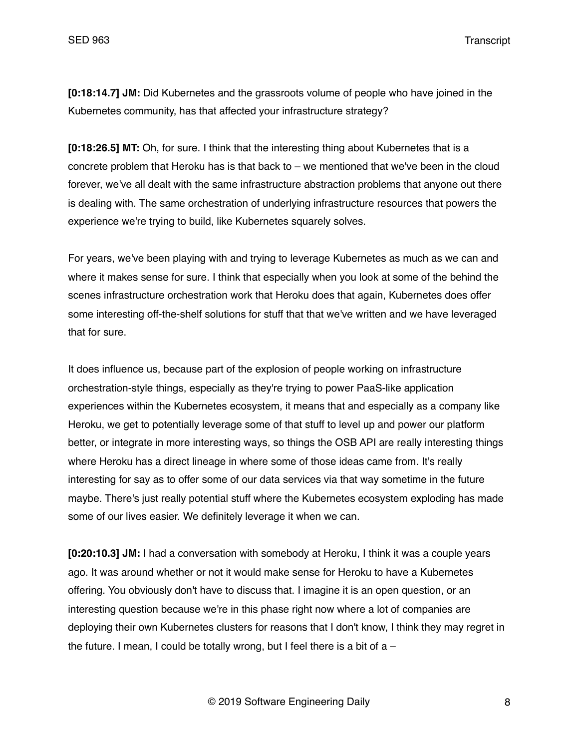**[0:18:14.7] JM:** Did Kubernetes and the grassroots volume of people who have joined in the Kubernetes community, has that affected your infrastructure strategy?

**[0:18:26.5] MT:** Oh, for sure. I think that the interesting thing about Kubernetes that is a concrete problem that Heroku has is that back to – we mentioned that we've been in the cloud forever, we've all dealt with the same infrastructure abstraction problems that anyone out there is dealing with. The same orchestration of underlying infrastructure resources that powers the experience we're trying to build, like Kubernetes squarely solves.

For years, we've been playing with and trying to leverage Kubernetes as much as we can and where it makes sense for sure. I think that especially when you look at some of the behind the scenes infrastructure orchestration work that Heroku does that again, Kubernetes does offer some interesting off-the-shelf solutions for stuff that that we've written and we have leveraged that for sure.

It does influence us, because part of the explosion of people working on infrastructure orchestration-style things, especially as they're trying to power PaaS-like application experiences within the Kubernetes ecosystem, it means that and especially as a company like Heroku, we get to potentially leverage some of that stuff to level up and power our platform better, or integrate in more interesting ways, so things the OSB API are really interesting things where Heroku has a direct lineage in where some of those ideas came from. It's really interesting for say as to offer some of our data services via that way sometime in the future maybe. There's just really potential stuff where the Kubernetes ecosystem exploding has made some of our lives easier. We definitely leverage it when we can.

**[0:20:10.3] JM:** I had a conversation with somebody at Heroku, I think it was a couple years ago. It was around whether or not it would make sense for Heroku to have a Kubernetes offering. You obviously don't have to discuss that. I imagine it is an open question, or an interesting question because we're in this phase right now where a lot of companies are deploying their own Kubernetes clusters for reasons that I don't know, I think they may regret in the future. I mean, I could be totally wrong, but I feel there is a bit of  $a -$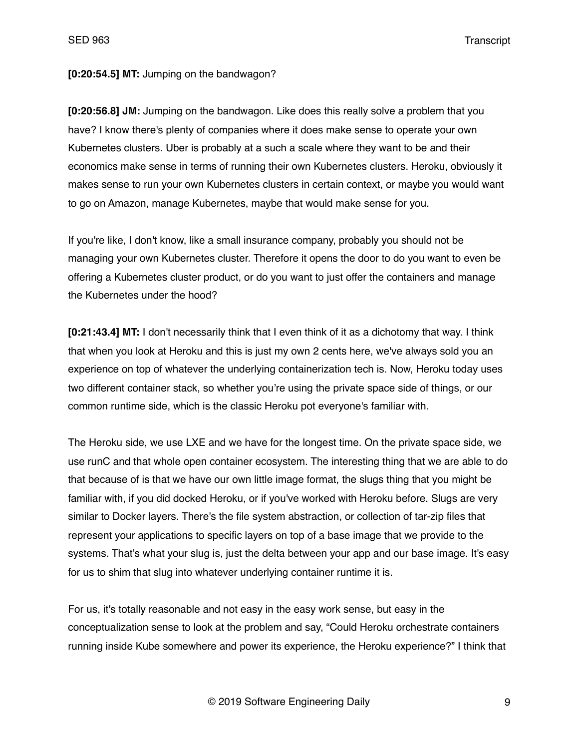#### **[0:20:54.5] MT:** Jumping on the bandwagon?

**[0:20:56.8] JM:** Jumping on the bandwagon. Like does this really solve a problem that you have? I know there's plenty of companies where it does make sense to operate your own Kubernetes clusters. Uber is probably at a such a scale where they want to be and their economics make sense in terms of running their own Kubernetes clusters. Heroku, obviously it makes sense to run your own Kubernetes clusters in certain context, or maybe you would want to go on Amazon, manage Kubernetes, maybe that would make sense for you.

If you're like, I don't know, like a small insurance company, probably you should not be managing your own Kubernetes cluster. Therefore it opens the door to do you want to even be offering a Kubernetes cluster product, or do you want to just offer the containers and manage the Kubernetes under the hood?

**[0:21:43.4] MT:** I don't necessarily think that I even think of it as a dichotomy that way. I think that when you look at Heroku and this is just my own 2 cents here, we've always sold you an experience on top of whatever the underlying containerization tech is. Now, Heroku today uses two different container stack, so whether you're using the private space side of things, or our common runtime side, which is the classic Heroku pot everyone's familiar with.

The Heroku side, we use LXE and we have for the longest time. On the private space side, we use runC and that whole open container ecosystem. The interesting thing that we are able to do that because of is that we have our own little image format, the slugs thing that you might be familiar with, if you did docked Heroku, or if you've worked with Heroku before. Slugs are very similar to Docker layers. There's the file system abstraction, or collection of tar-zip files that represent your applications to specific layers on top of a base image that we provide to the systems. That's what your slug is, just the delta between your app and our base image. It's easy for us to shim that slug into whatever underlying container runtime it is.

For us, it's totally reasonable and not easy in the easy work sense, but easy in the conceptualization sense to look at the problem and say, "Could Heroku orchestrate containers running inside Kube somewhere and power its experience, the Heroku experience?" I think that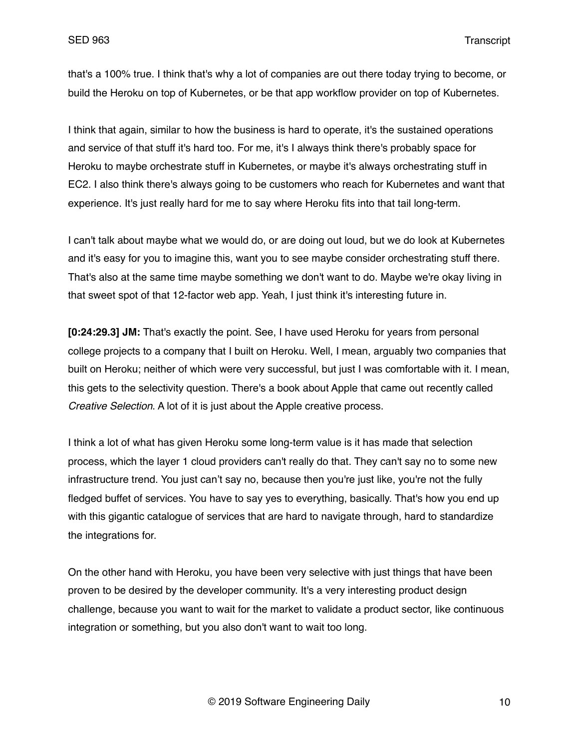that's a 100% true. I think that's why a lot of companies are out there today trying to become, or build the Heroku on top of Kubernetes, or be that app workflow provider on top of Kubernetes.

I think that again, similar to how the business is hard to operate, it's the sustained operations and service of that stuff it's hard too. For me, it's I always think there's probably space for Heroku to maybe orchestrate stuff in Kubernetes, or maybe it's always orchestrating stuff in EC2. I also think there's always going to be customers who reach for Kubernetes and want that experience. It's just really hard for me to say where Heroku fits into that tail long-term.

I can't talk about maybe what we would do, or are doing out loud, but we do look at Kubernetes and it's easy for you to imagine this, want you to see maybe consider orchestrating stuff there. That's also at the same time maybe something we don't want to do. Maybe we're okay living in that sweet spot of that 12-factor web app. Yeah, I just think it's interesting future in.

**[0:24:29.3] JM:** That's exactly the point. See, I have used Heroku for years from personal college projects to a company that I built on Heroku. Well, I mean, arguably two companies that built on Heroku; neither of which were very successful, but just I was comfortable with it. I mean, this gets to the selectivity question. There's a book about Apple that came out recently called *Creative Selection*. A lot of it is just about the Apple creative process.

I think a lot of what has given Heroku some long-term value is it has made that selection process, which the layer 1 cloud providers can't really do that. They can't say no to some new infrastructure trend. You just can't say no, because then you're just like, you're not the fully fledged buffet of services. You have to say yes to everything, basically. That's how you end up with this gigantic catalogue of services that are hard to navigate through, hard to standardize the integrations for.

On the other hand with Heroku, you have been very selective with just things that have been proven to be desired by the developer community. It's a very interesting product design challenge, because you want to wait for the market to validate a product sector, like continuous integration or something, but you also don't want to wait too long.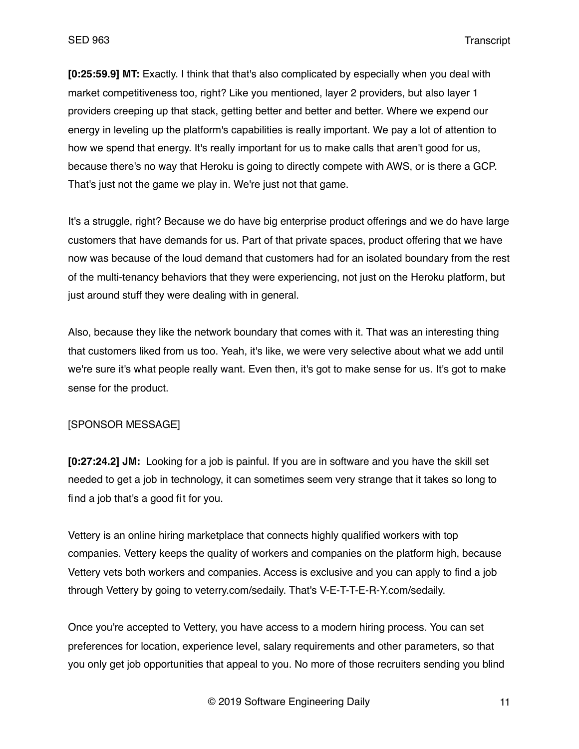**[0:25:59.9] MT:** Exactly. I think that that's also complicated by especially when you deal with market competitiveness too, right? Like you mentioned, layer 2 providers, but also layer 1 providers creeping up that stack, getting better and better and better. Where we expend our energy in leveling up the platform's capabilities is really important. We pay a lot of attention to how we spend that energy. It's really important for us to make calls that aren't good for us, because there's no way that Heroku is going to directly compete with AWS, or is there a GCP. That's just not the game we play in. We're just not that game.

It's a struggle, right? Because we do have big enterprise product offerings and we do have large customers that have demands for us. Part of that private spaces, product offering that we have now was because of the loud demand that customers had for an isolated boundary from the rest of the multi-tenancy behaviors that they were experiencing, not just on the Heroku platform, but just around stuff they were dealing with in general.

Also, because they like the network boundary that comes with it. That was an interesting thing that customers liked from us too. Yeah, it's like, we were very selective about what we add until we're sure it's what people really want. Even then, it's got to make sense for us. It's got to make sense for the product.

### [SPONSOR MESSAGE]

**[0:27:24.2] JM:** Looking for a job is painful. If you are in software and you have the skill set needed to get a job in technology, it can sometimes seem very strange that it takes so long to find a job that's a good fit for you.

Vettery is an online hiring marketplace that connects highly qualified workers with top companies. Vettery keeps the quality of workers and companies on the platform high, because Vettery vets both workers and companies. Access is exclusive and you can apply to find a job through Vettery by going to veterry.com/sedaily. That's V-E-T-T-E-R-Y.com/sedaily.

Once you're accepted to Vettery, you have access to a modern hiring process. You can set preferences for location, experience level, salary requirements and other parameters, so that you only get job opportunities that appeal to you. No more of those recruiters sending you blind

© 2019 Software Engineering Daily 11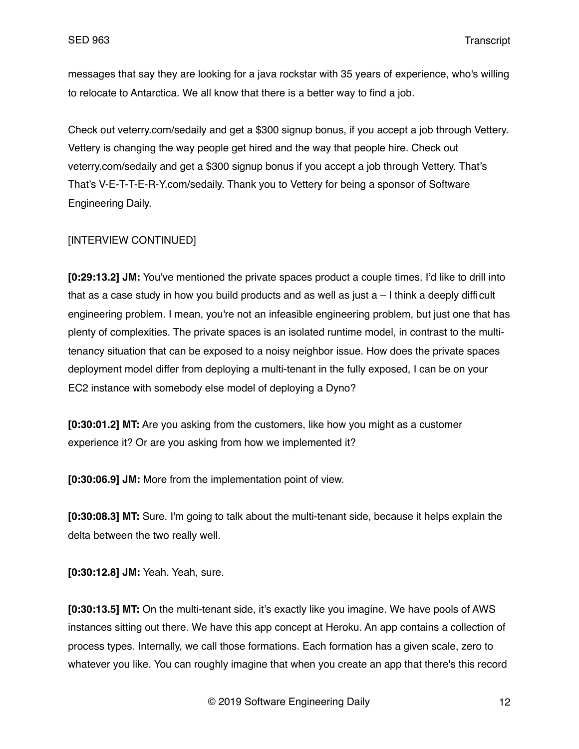messages that say they are looking for a java rockstar with 35 years of experience, who's willing to relocate to Antarctica. We all know that there is a better way to find a job.

Check out veterry.com/sedaily and get a \$300 signup bonus, if you accept a job through Vettery. Vettery is changing the way people get hired and the way that people hire. Check out veterry.com/sedaily and get a \$300 signup bonus if you accept a job through Vettery. That's That's V-E-T-T-E-R-Y.com/sedaily. Thank you to Vettery for being a sponsor of Software Engineering Daily.

### [INTERVIEW CONTINUED]

**[0:29:13.2] JM:** You've mentioned the private spaces product a couple times. I'd like to drill into that as a case study in how you build products and as well as just  $a - 1$  think a deeply difficult engineering problem. I mean, you're not an infeasible engineering problem, but just one that has plenty of complexities. The private spaces is an isolated runtime model, in contrast to the multitenancy situation that can be exposed to a noisy neighbor issue. How does the private spaces deployment model differ from deploying a multi-tenant in the fully exposed, I can be on your EC2 instance with somebody else model of deploying a Dyno?

**[0:30:01.2] MT:** Are you asking from the customers, like how you might as a customer experience it? Or are you asking from how we implemented it?

**[0:30:06.9] JM:** More from the implementation point of view.

**[0:30:08.3] MT:** Sure. I'm going to talk about the multi-tenant side, because it helps explain the delta between the two really well.

**[0:30:12.8] JM:** Yeah. Yeah, sure.

**[0:30:13.5] MT:** On the multi-tenant side, it's exactly like you imagine. We have pools of AWS instances sitting out there. We have this app concept at Heroku. An app contains a collection of process types. Internally, we call those formations. Each formation has a given scale, zero to whatever you like. You can roughly imagine that when you create an app that there's this record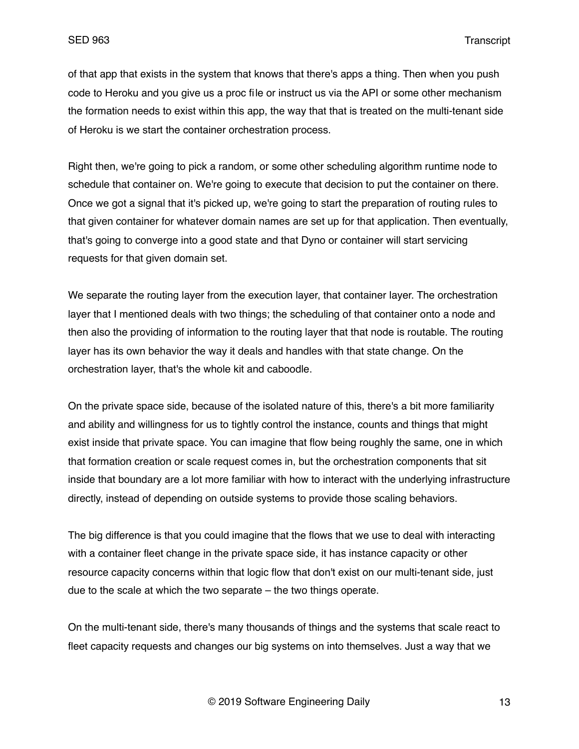of that app that exists in the system that knows that there's apps a thing. Then when you push code to Heroku and you give us a proc file or instruct us via the API or some other mechanism the formation needs to exist within this app, the way that that is treated on the multi-tenant side of Heroku is we start the container orchestration process.

Right then, we're going to pick a random, or some other scheduling algorithm runtime node to schedule that container on. We're going to execute that decision to put the container on there. Once we got a signal that it's picked up, we're going to start the preparation of routing rules to that given container for whatever domain names are set up for that application. Then eventually, that's going to converge into a good state and that Dyno or container will start servicing requests for that given domain set.

We separate the routing layer from the execution layer, that container layer. The orchestration layer that I mentioned deals with two things; the scheduling of that container onto a node and then also the providing of information to the routing layer that that node is routable. The routing layer has its own behavior the way it deals and handles with that state change. On the orchestration layer, that's the whole kit and caboodle.

On the private space side, because of the isolated nature of this, there's a bit more familiarity and ability and willingness for us to tightly control the instance, counts and things that might exist inside that private space. You can imagine that flow being roughly the same, one in which that formation creation or scale request comes in, but the orchestration components that sit inside that boundary are a lot more familiar with how to interact with the underlying infrastructure directly, instead of depending on outside systems to provide those scaling behaviors.

The big difference is that you could imagine that the flows that we use to deal with interacting with a container fleet change in the private space side, it has instance capacity or other resource capacity concerns within that logic flow that don't exist on our multi-tenant side, just due to the scale at which the two separate – the two things operate.

On the multi-tenant side, there's many thousands of things and the systems that scale react to fleet capacity requests and changes our big systems on into themselves. Just a way that we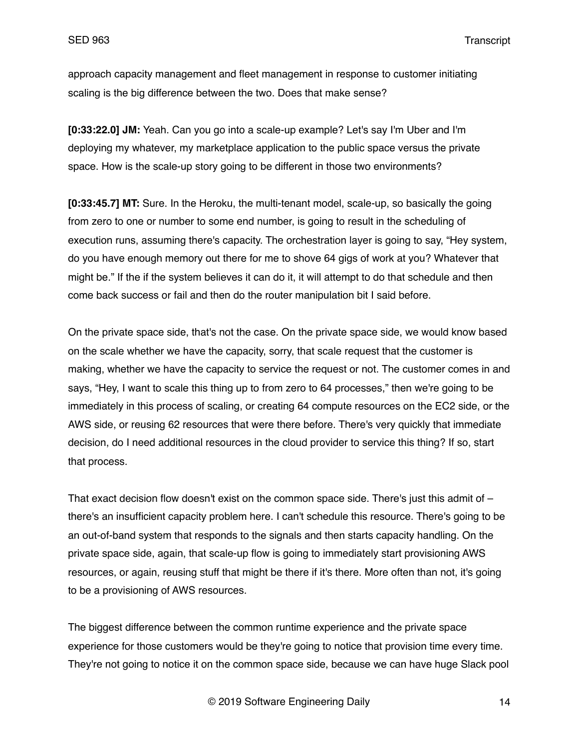approach capacity management and fleet management in response to customer initiating scaling is the big difference between the two. Does that make sense?

**[0:33:22.0] JM:** Yeah. Can you go into a scale-up example? Let's say I'm Uber and I'm deploying my whatever, my marketplace application to the public space versus the private space. How is the scale-up story going to be different in those two environments?

**[0:33:45.7] MT:** Sure. In the Heroku, the multi-tenant model, scale-up, so basically the going from zero to one or number to some end number, is going to result in the scheduling of execution runs, assuming there's capacity. The orchestration layer is going to say, "Hey system, do you have enough memory out there for me to shove 64 gigs of work at you? Whatever that might be." If the if the system believes it can do it, it will attempt to do that schedule and then come back success or fail and then do the router manipulation bit I said before.

On the private space side, that's not the case. On the private space side, we would know based on the scale whether we have the capacity, sorry, that scale request that the customer is making, whether we have the capacity to service the request or not. The customer comes in and says, "Hey, I want to scale this thing up to from zero to 64 processes," then we're going to be immediately in this process of scaling, or creating 64 compute resources on the EC2 side, or the AWS side, or reusing 62 resources that were there before. There's very quickly that immediate decision, do I need additional resources in the cloud provider to service this thing? If so, start that process.

That exact decision flow doesn't exist on the common space side. There's just this admit of  $$ there's an insufficient capacity problem here. I can't schedule this resource. There's going to be an out-of-band system that responds to the signals and then starts capacity handling. On the private space side, again, that scale-up flow is going to immediately start provisioning AWS resources, or again, reusing stuff that might be there if it's there. More often than not, it's going to be a provisioning of AWS resources.

The biggest difference between the common runtime experience and the private space experience for those customers would be they're going to notice that provision time every time. They're not going to notice it on the common space side, because we can have huge Slack pool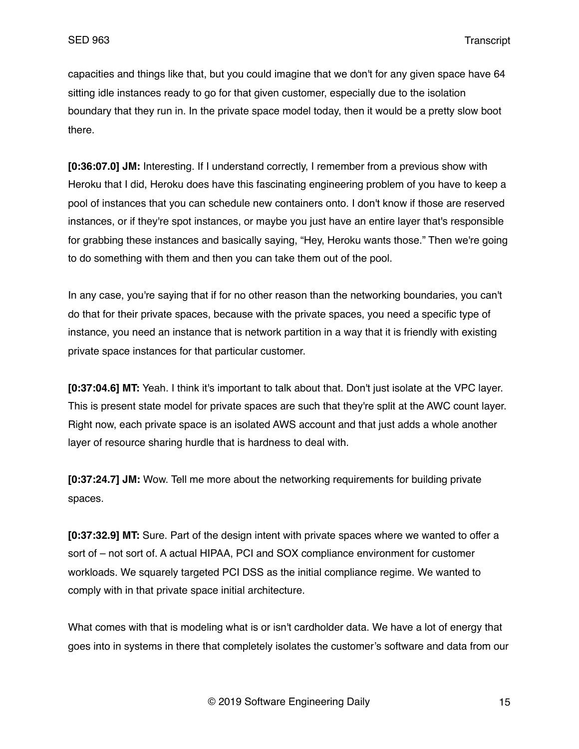capacities and things like that, but you could imagine that we don't for any given space have 64 sitting idle instances ready to go for that given customer, especially due to the isolation boundary that they run in. In the private space model today, then it would be a pretty slow boot there.

**[0:36:07.0] JM:** Interesting. If I understand correctly, I remember from a previous show with Heroku that I did, Heroku does have this fascinating engineering problem of you have to keep a pool of instances that you can schedule new containers onto. I don't know if those are reserved instances, or if they're spot instances, or maybe you just have an entire layer that's responsible for grabbing these instances and basically saying, "Hey, Heroku wants those." Then we're going to do something with them and then you can take them out of the pool.

In any case, you're saying that if for no other reason than the networking boundaries, you can't do that for their private spaces, because with the private spaces, you need a specific type of instance, you need an instance that is network partition in a way that it is friendly with existing private space instances for that particular customer.

**[0:37:04.6] MT:** Yeah. I think it's important to talk about that. Don't just isolate at the VPC layer. This is present state model for private spaces are such that they're split at the AWC count layer. Right now, each private space is an isolated AWS account and that just adds a whole another layer of resource sharing hurdle that is hardness to deal with.

**[0:37:24.7] JM:** Wow. Tell me more about the networking requirements for building private spaces.

**[0:37:32.9] MT:** Sure. Part of the design intent with private spaces where we wanted to offer a sort of – not sort of. A actual HIPAA, PCI and SOX compliance environment for customer workloads. We squarely targeted PCI DSS as the initial compliance regime. We wanted to comply with in that private space initial architecture.

What comes with that is modeling what is or isn't cardholder data. We have a lot of energy that goes into in systems in there that completely isolates the customer's software and data from our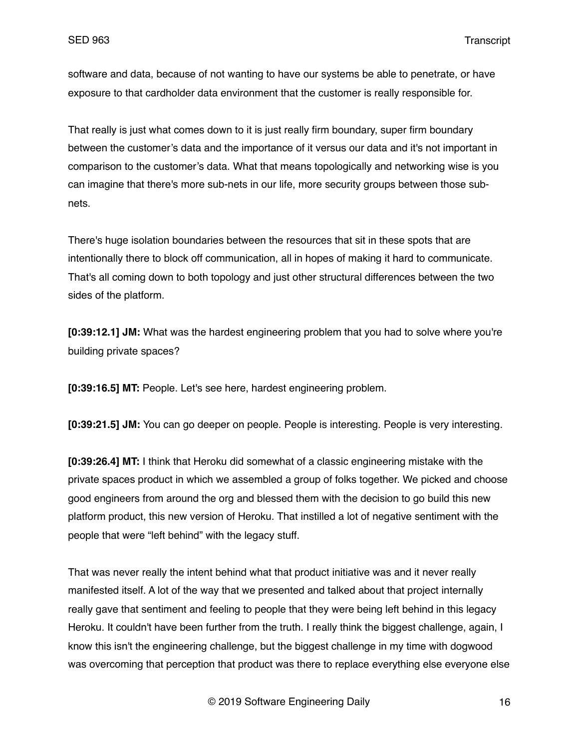software and data, because of not wanting to have our systems be able to penetrate, or have exposure to that cardholder data environment that the customer is really responsible for.

That really is just what comes down to it is just really firm boundary, super firm boundary between the customer's data and the importance of it versus our data and it's not important in comparison to the customer's data. What that means topologically and networking wise is you can imagine that there's more sub-nets in our life, more security groups between those subnets.

There's huge isolation boundaries between the resources that sit in these spots that are intentionally there to block off communication, all in hopes of making it hard to communicate. That's all coming down to both topology and just other structural differences between the two sides of the platform.

**[0:39:12.1] JM:** What was the hardest engineering problem that you had to solve where you're building private spaces?

**[0:39:16.5] MT:** People. Let's see here, hardest engineering problem.

**[0:39:21.5] JM:** You can go deeper on people. People is interesting. People is very interesting.

**[0:39:26.4] MT:** I think that Heroku did somewhat of a classic engineering mistake with the private spaces product in which we assembled a group of folks together. We picked and choose good engineers from around the org and blessed them with the decision to go build this new platform product, this new version of Heroku. That instilled a lot of negative sentiment with the people that were "left behind" with the legacy stuff.

That was never really the intent behind what that product initiative was and it never really manifested itself. A lot of the way that we presented and talked about that project internally really gave that sentiment and feeling to people that they were being left behind in this legacy Heroku. It couldn't have been further from the truth. I really think the biggest challenge, again, I know this isn't the engineering challenge, but the biggest challenge in my time with dogwood was overcoming that perception that product was there to replace everything else everyone else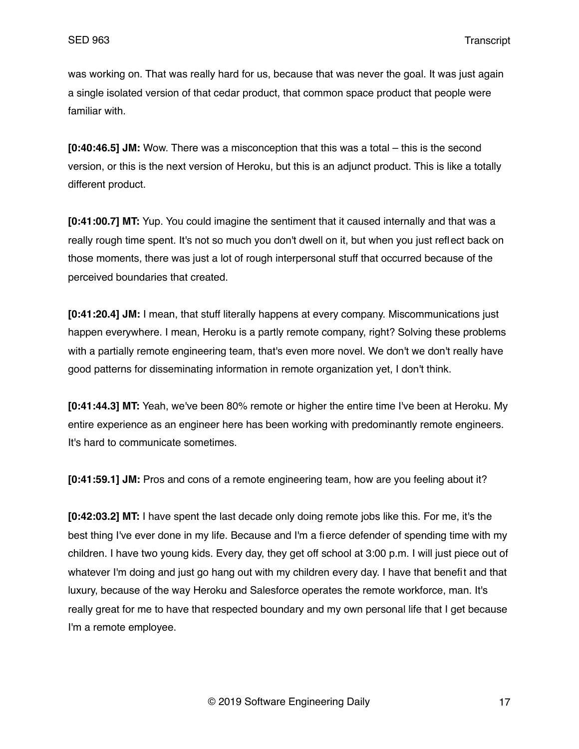was working on. That was really hard for us, because that was never the goal. It was just again a single isolated version of that cedar product, that common space product that people were familiar with.

**[0:40:46.5] JM:** Wow. There was a misconception that this was a total – this is the second version, or this is the next version of Heroku, but this is an adjunct product. This is like a totally different product.

**[0:41:00.7] MT:** Yup. You could imagine the sentiment that it caused internally and that was a really rough time spent. It's not so much you don't dwell on it, but when you just reflect back on those moments, there was just a lot of rough interpersonal stuff that occurred because of the perceived boundaries that created.

**[0:41:20.4] JM:** I mean, that stuff literally happens at every company. Miscommunications just happen everywhere. I mean, Heroku is a partly remote company, right? Solving these problems with a partially remote engineering team, that's even more novel. We don't we don't really have good patterns for disseminating information in remote organization yet, I don't think.

**[0:41:44.3] MT:** Yeah, we've been 80% remote or higher the entire time I've been at Heroku. My entire experience as an engineer here has been working with predominantly remote engineers. It's hard to communicate sometimes.

**[0:41:59.1] JM:** Pros and cons of a remote engineering team, how are you feeling about it?

**[0:42:03.2] MT:** I have spent the last decade only doing remote jobs like this. For me, it's the best thing I've ever done in my life. Because and I'm a fierce defender of spending time with my children. I have two young kids. Every day, they get off school at 3:00 p.m. I will just piece out of whatever I'm doing and just go hang out with my children every day. I have that benefit and that luxury, because of the way Heroku and Salesforce operates the remote workforce, man. It's really great for me to have that respected boundary and my own personal life that I get because I'm a remote employee.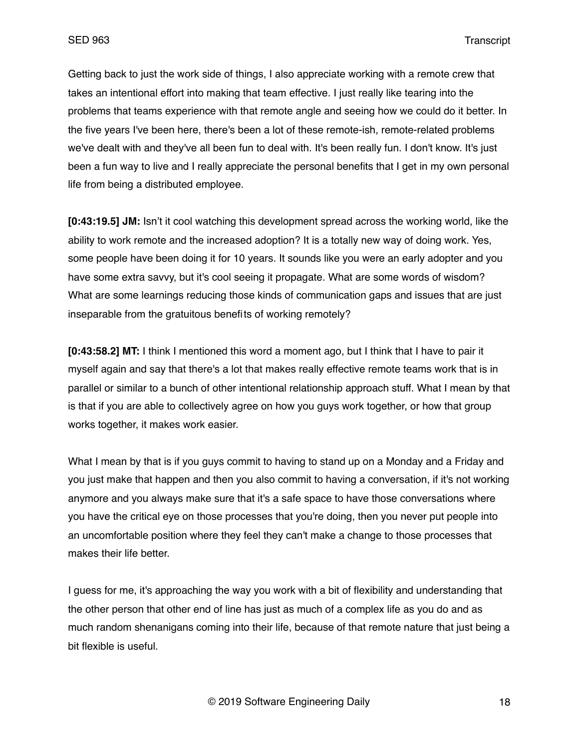Getting back to just the work side of things, I also appreciate working with a remote crew that takes an intentional effort into making that team effective. I just really like tearing into the problems that teams experience with that remote angle and seeing how we could do it better. In the five years I've been here, there's been a lot of these remote-ish, remote-related problems we've dealt with and they've all been fun to deal with. It's been really fun. I don't know. It's just been a fun way to live and I really appreciate the personal benefits that I get in my own personal life from being a distributed employee.

**[0:43:19.5] JM:** Isn't it cool watching this development spread across the working world, like the ability to work remote and the increased adoption? It is a totally new way of doing work. Yes, some people have been doing it for 10 years. It sounds like you were an early adopter and you have some extra savvy, but it's cool seeing it propagate. What are some words of wisdom? What are some learnings reducing those kinds of communication gaps and issues that are just inseparable from the gratuitous benefits of working remotely?

**[0:43:58.2] MT:** I think I mentioned this word a moment ago, but I think that I have to pair it myself again and say that there's a lot that makes really effective remote teams work that is in parallel or similar to a bunch of other intentional relationship approach stuff. What I mean by that is that if you are able to collectively agree on how you guys work together, or how that group works together, it makes work easier.

What I mean by that is if you guys commit to having to stand up on a Monday and a Friday and you just make that happen and then you also commit to having a conversation, if it's not working anymore and you always make sure that it's a safe space to have those conversations where you have the critical eye on those processes that you're doing, then you never put people into an uncomfortable position where they feel they can't make a change to those processes that makes their life better.

I guess for me, it's approaching the way you work with a bit of flexibility and understanding that the other person that other end of line has just as much of a complex life as you do and as much random shenanigans coming into their life, because of that remote nature that just being a bit flexible is useful.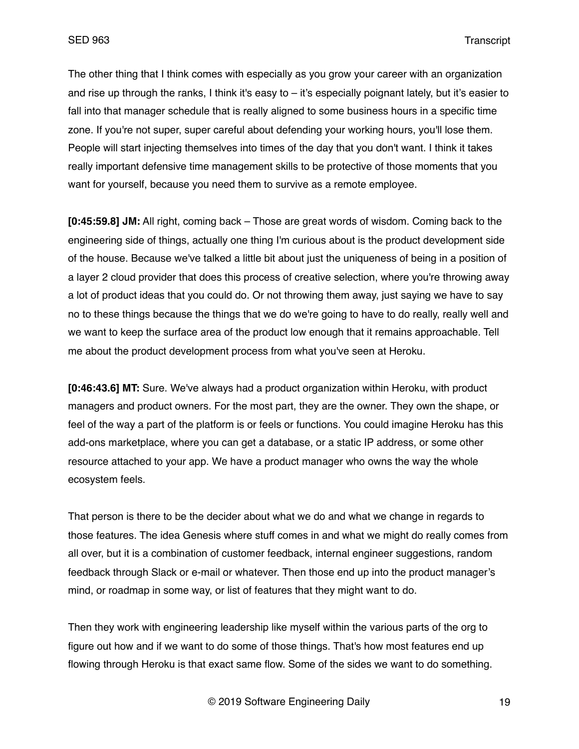The other thing that I think comes with especially as you grow your career with an organization and rise up through the ranks, I think it's easy to – it's especially poignant lately, but it's easier to fall into that manager schedule that is really aligned to some business hours in a specific time zone. If you're not super, super careful about defending your working hours, you'll lose them. People will start injecting themselves into times of the day that you don't want. I think it takes really important defensive time management skills to be protective of those moments that you want for yourself, because you need them to survive as a remote employee.

**[0:45:59.8] JM:** All right, coming back – Those are great words of wisdom. Coming back to the engineering side of things, actually one thing I'm curious about is the product development side of the house. Because we've talked a little bit about just the uniqueness of being in a position of a layer 2 cloud provider that does this process of creative selection, where you're throwing away a lot of product ideas that you could do. Or not throwing them away, just saying we have to say no to these things because the things that we do we're going to have to do really, really well and we want to keep the surface area of the product low enough that it remains approachable. Tell me about the product development process from what you've seen at Heroku.

**[0:46:43.6] MT:** Sure. We've always had a product organization within Heroku, with product managers and product owners. For the most part, they are the owner. They own the shape, or feel of the way a part of the platform is or feels or functions. You could imagine Heroku has this add-ons marketplace, where you can get a database, or a static IP address, or some other resource attached to your app. We have a product manager who owns the way the whole ecosystem feels.

That person is there to be the decider about what we do and what we change in regards to those features. The idea Genesis where stuff comes in and what we might do really comes from all over, but it is a combination of customer feedback, internal engineer suggestions, random feedback through Slack or e-mail or whatever. Then those end up into the product manager's mind, or roadmap in some way, or list of features that they might want to do.

Then they work with engineering leadership like myself within the various parts of the org to figure out how and if we want to do some of those things. That's how most features end up flowing through Heroku is that exact same flow. Some of the sides we want to do something.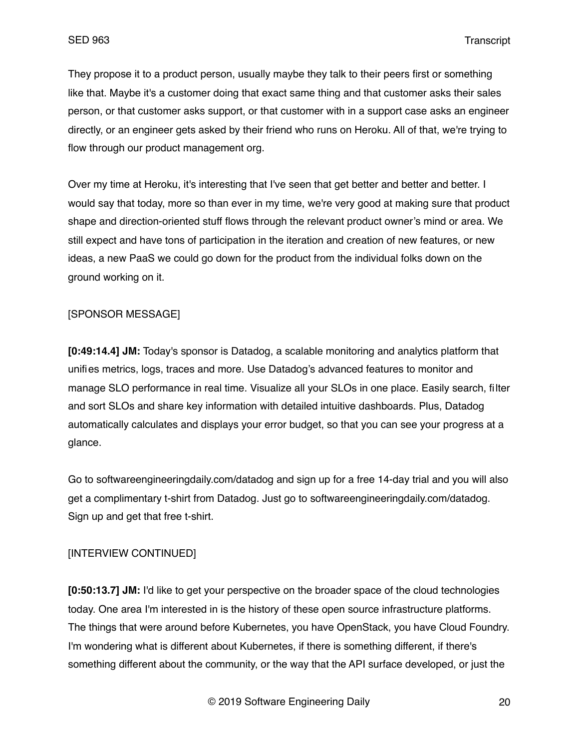They propose it to a product person, usually maybe they talk to their peers first or something like that. Maybe it's a customer doing that exact same thing and that customer asks their sales person, or that customer asks support, or that customer with in a support case asks an engineer directly, or an engineer gets asked by their friend who runs on Heroku. All of that, we're trying to flow through our product management org.

Over my time at Heroku, it's interesting that I've seen that get better and better and better. I would say that today, more so than ever in my time, we're very good at making sure that product shape and direction-oriented stuff flows through the relevant product owner's mind or area. We still expect and have tons of participation in the iteration and creation of new features, or new ideas, a new PaaS we could go down for the product from the individual folks down on the ground working on it.

## [SPONSOR MESSAGE]

**[0:49:14.4] JM:** Today's sponsor is Datadog, a scalable monitoring and analytics platform that unifies metrics, logs, traces and more. Use Datadog's advanced features to monitor and manage SLO performance in real time. Visualize all your SLOs in one place. Easily search, filter and sort SLOs and share key information with detailed intuitive dashboards. Plus, Datadog automatically calculates and displays your error budget, so that you can see your progress at a glance.

Go to softwareengineeringdaily.com/datadog and sign up for a free 14-day trial and you will also get a complimentary t-shirt from Datadog. Just go to softwareengineeringdaily.com/datadog. Sign up and get that free t-shirt.

# [INTERVIEW CONTINUED]

**[0:50:13.7] JM:** I'd like to get your perspective on the broader space of the cloud technologies today. One area I'm interested in is the history of these open source infrastructure platforms. The things that were around before Kubernetes, you have OpenStack, you have Cloud Foundry. I'm wondering what is different about Kubernetes, if there is something different, if there's something different about the community, or the way that the API surface developed, or just the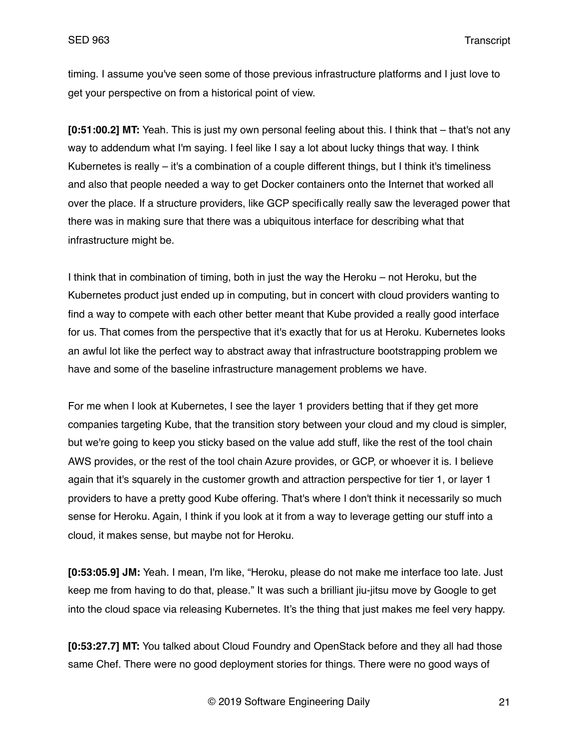timing. I assume you've seen some of those previous infrastructure platforms and I just love to get your perspective on from a historical point of view.

**[0:51:00.2] MT:** Yeah. This is just my own personal feeling about this. I think that – that's not any way to addendum what I'm saying. I feel like I say a lot about lucky things that way. I think Kubernetes is really – it's a combination of a couple different things, but I think it's timeliness and also that people needed a way to get Docker containers onto the Internet that worked all over the place. If a structure providers, like GCP specifically really saw the leveraged power that there was in making sure that there was a ubiquitous interface for describing what that infrastructure might be.

I think that in combination of timing, both in just the way the Heroku – not Heroku, but the Kubernetes product just ended up in computing, but in concert with cloud providers wanting to find a way to compete with each other better meant that Kube provided a really good interface for us. That comes from the perspective that it's exactly that for us at Heroku. Kubernetes looks an awful lot like the perfect way to abstract away that infrastructure bootstrapping problem we have and some of the baseline infrastructure management problems we have.

For me when I look at Kubernetes, I see the layer 1 providers betting that if they get more companies targeting Kube, that the transition story between your cloud and my cloud is simpler, but we're going to keep you sticky based on the value add stuff, like the rest of the tool chain AWS provides, or the rest of the tool chain Azure provides, or GCP, or whoever it is. I believe again that it's squarely in the customer growth and attraction perspective for tier 1, or layer 1 providers to have a pretty good Kube offering. That's where I don't think it necessarily so much sense for Heroku. Again, I think if you look at it from a way to leverage getting our stuff into a cloud, it makes sense, but maybe not for Heroku.

**[0:53:05.9] JM:** Yeah. I mean, I'm like, "Heroku, please do not make me interface too late. Just keep me from having to do that, please." It was such a brilliant jiu-jitsu move by Google to get into the cloud space via releasing Kubernetes. It's the thing that just makes me feel very happy.

**[0:53:27.7] MT:** You talked about Cloud Foundry and OpenStack before and they all had those same Chef. There were no good deployment stories for things. There were no good ways of

© 2019 Software Engineering Daily 21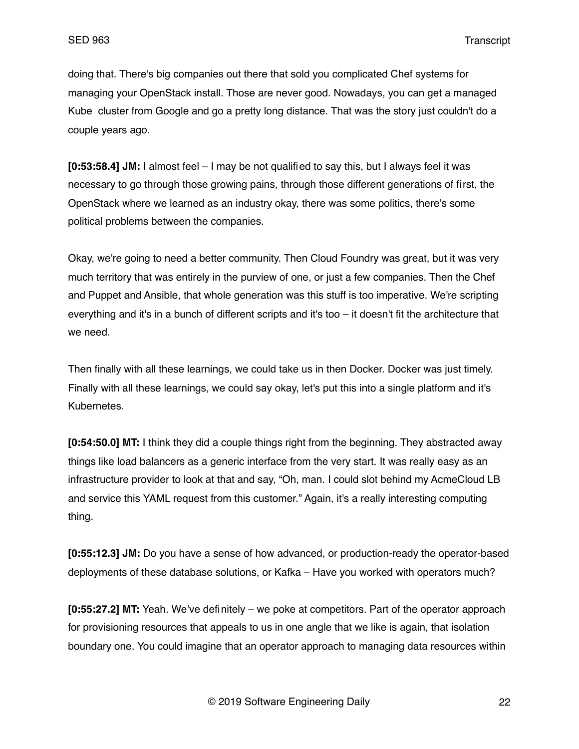doing that. There's big companies out there that sold you complicated Chef systems for managing your OpenStack install. Those are never good. Nowadays, you can get a managed Kube cluster from Google and go a pretty long distance. That was the story just couldn't do a couple years ago.

**[0:53:58.4] JM:** I almost feel – I may be not qualified to say this, but I always feel it was necessary to go through those growing pains, through those different generations of first, the OpenStack where we learned as an industry okay, there was some politics, there's some political problems between the companies.

Okay, we're going to need a better community. Then Cloud Foundry was great, but it was very much territory that was entirely in the purview of one, or just a few companies. Then the Chef and Puppet and Ansible, that whole generation was this stuff is too imperative. We're scripting everything and it's in a bunch of different scripts and it's too – it doesn't fit the architecture that we need.

Then finally with all these learnings, we could take us in then Docker. Docker was just timely. Finally with all these learnings, we could say okay, let's put this into a single platform and it's Kubernetes.

**[0:54:50.0] MT:** I think they did a couple things right from the beginning. They abstracted away things like load balancers as a generic interface from the very start. It was really easy as an infrastructure provider to look at that and say, "Oh, man. I could slot behind my AcmeCloud LB and service this YAML request from this customer." Again, it's a really interesting computing thing.

**[0:55:12.3] JM:** Do you have a sense of how advanced, or production-ready the operator-based deployments of these database solutions, or Kafka – Have you worked with operators much?

**[0:55:27.2] MT:** Yeah. We've definitely – we poke at competitors. Part of the operator approach for provisioning resources that appeals to us in one angle that we like is again, that isolation boundary one. You could imagine that an operator approach to managing data resources within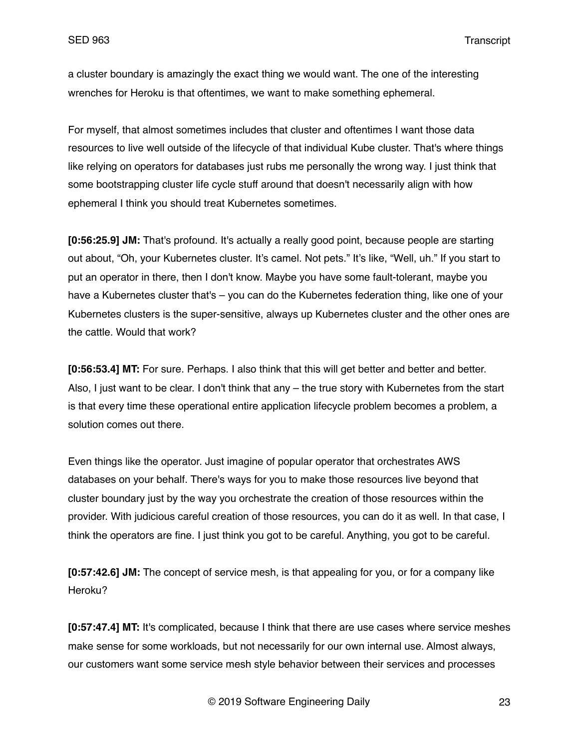a cluster boundary is amazingly the exact thing we would want. The one of the interesting wrenches for Heroku is that oftentimes, we want to make something ephemeral.

For myself, that almost sometimes includes that cluster and oftentimes I want those data resources to live well outside of the lifecycle of that individual Kube cluster. That's where things like relying on operators for databases just rubs me personally the wrong way. I just think that some bootstrapping cluster life cycle stuff around that doesn't necessarily align with how ephemeral I think you should treat Kubernetes sometimes.

**[0:56:25.9] JM:** That's profound. It's actually a really good point, because people are starting out about, "Oh, your Kubernetes cluster. It's camel. Not pets." It's like, "Well, uh." If you start to put an operator in there, then I don't know. Maybe you have some fault-tolerant, maybe you have a Kubernetes cluster that's – you can do the Kubernetes federation thing, like one of your Kubernetes clusters is the super-sensitive, always up Kubernetes cluster and the other ones are the cattle. Would that work?

**[0:56:53.4] MT:** For sure. Perhaps. I also think that this will get better and better and better. Also, I just want to be clear. I don't think that any – the true story with Kubernetes from the start is that every time these operational entire application lifecycle problem becomes a problem, a solution comes out there.

Even things like the operator. Just imagine of popular operator that orchestrates AWS databases on your behalf. There's ways for you to make those resources live beyond that cluster boundary just by the way you orchestrate the creation of those resources within the provider. With judicious careful creation of those resources, you can do it as well. In that case, I think the operators are fine. I just think you got to be careful. Anything, you got to be careful.

**[0:57:42.6] JM:** The concept of service mesh, is that appealing for you, or for a company like Heroku?

**[0:57:47.4] MT:** It's complicated, because I think that there are use cases where service meshes make sense for some workloads, but not necessarily for our own internal use. Almost always, our customers want some service mesh style behavior between their services and processes

© 2019 Software Engineering Daily 23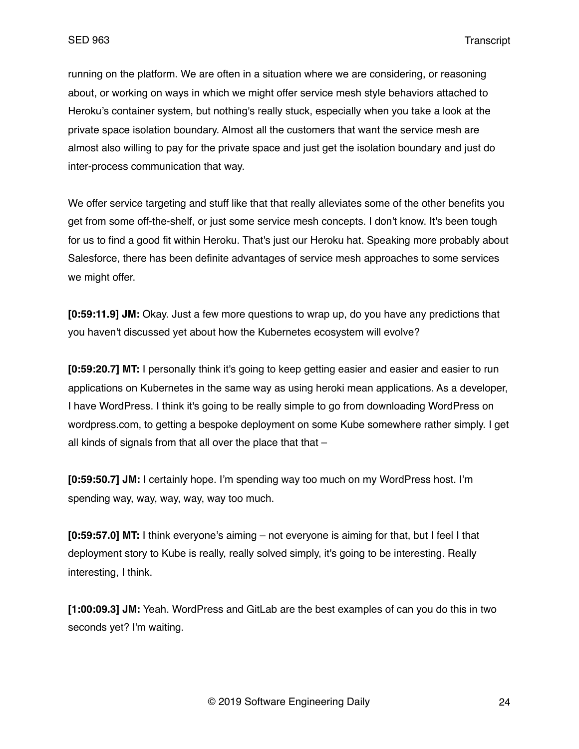running on the platform. We are often in a situation where we are considering, or reasoning about, or working on ways in which we might offer service mesh style behaviors attached to Heroku's container system, but nothing's really stuck, especially when you take a look at the private space isolation boundary. Almost all the customers that want the service mesh are almost also willing to pay for the private space and just get the isolation boundary and just do inter-process communication that way.

We offer service targeting and stuff like that that really alleviates some of the other benefits you get from some off-the-shelf, or just some service mesh concepts. I don't know. It's been tough for us to find a good fit within Heroku. That's just our Heroku hat. Speaking more probably about Salesforce, there has been definite advantages of service mesh approaches to some services we might offer.

**[0:59:11.9] JM:** Okay. Just a few more questions to wrap up, do you have any predictions that you haven't discussed yet about how the Kubernetes ecosystem will evolve?

**[0:59:20.7] MT:** I personally think it's going to keep getting easier and easier and easier to run applications on Kubernetes in the same way as using heroki mean applications. As a developer, I have WordPress. I think it's going to be really simple to go from downloading WordPress on wordpress.com, to getting a bespoke deployment on some Kube somewhere rather simply. I get all kinds of signals from that all over the place that that  $-$ 

**[0:59:50.7] JM:** I certainly hope. I'm spending way too much on my WordPress host. I'm spending way, way, way, way, way too much.

**[0:59:57.0] MT:** I think everyone's aiming – not everyone is aiming for that, but I feel I that deployment story to Kube is really, really solved simply, it's going to be interesting. Really interesting, I think.

**[1:00:09.3] JM:** Yeah. WordPress and GitLab are the best examples of can you do this in two seconds yet? I'm waiting.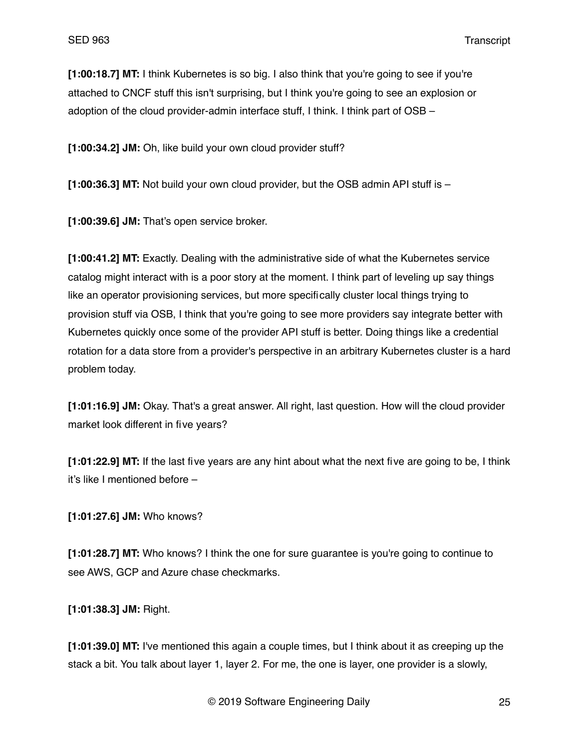**[1:00:18.7] MT:** I think Kubernetes is so big. I also think that you're going to see if you're attached to CNCF stuff this isn't surprising, but I think you're going to see an explosion or adoption of the cloud provider-admin interface stuff, I think. I think part of OSB –

**[1:00:34.2] JM:** Oh, like build your own cloud provider stuff?

**[1:00:36.3] MT:** Not build your own cloud provider, but the OSB admin API stuff is –

**[1:00:39.6] JM:** That's open service broker.

**[1:00:41.2] MT:** Exactly. Dealing with the administrative side of what the Kubernetes service catalog might interact with is a poor story at the moment. I think part of leveling up say things like an operator provisioning services, but more specifically cluster local things trying to provision stuff via OSB, I think that you're going to see more providers say integrate better with Kubernetes quickly once some of the provider API stuff is better. Doing things like a credential rotation for a data store from a provider's perspective in an arbitrary Kubernetes cluster is a hard problem today.

**[1:01:16.9] JM:** Okay. That's a great answer. All right, last question. How will the cloud provider market look different in five years?

**[1:01:22.9] MT:** If the last five years are any hint about what the next five are going to be, I think it's like I mentioned before –

**[1:01:27.6] JM:** Who knows?

**[1:01:28.7] MT:** Who knows? I think the one for sure guarantee is you're going to continue to see AWS, GCP and Azure chase checkmarks.

**[1:01:38.3] JM:** Right.

**[1:01:39.0] MT:** I've mentioned this again a couple times, but I think about it as creeping up the stack a bit. You talk about layer 1, layer 2. For me, the one is layer, one provider is a slowly,